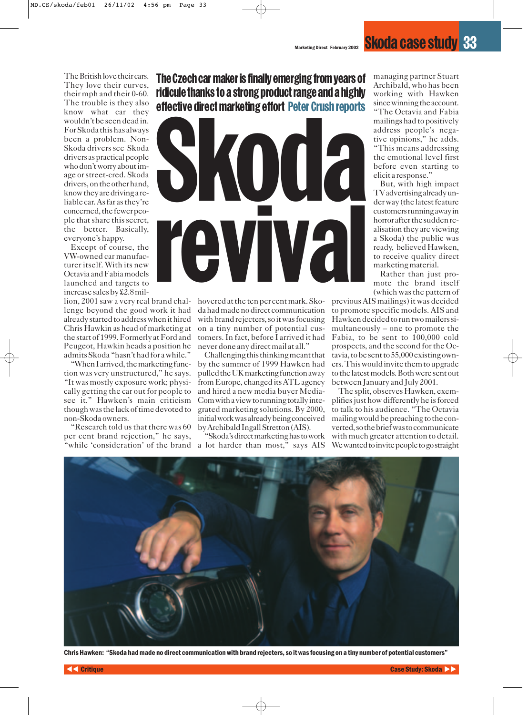The British love their cars. They love their curves, their mph and their 0-60. The trouble is they also know what car they wouldn't be seen dead in. For Skoda this has always been a problem. Non-Skoda drivers see Skoda drivers as practical people who don't worry about image or street-cred. Skoda drivers, on the other hand, know they are driving a reliable car. As far as they're concerned, the fewer people that share this secret, the better. Basically, everyone's happy.

Except of course, the VW-owned car manufacturer itself. With its new Octavia and Fabia models launched and targets to increase sales by £2.8 mil-

lenge beyond the good work it had already started to address when it hired Chris Hawkin as head of marketing at the start of 1999. Formerly at Ford and Peugeot, Hawkin heads a position he admits Skoda "hasn't had for a while."

"When I arrived, the marketing function was very unstructured," he says. "It was mostly exposure work; physically getting the car out for people to see it." Hawken's main criticism though was the lack of time devoted to non-Skoda owners.

"Research told us that there was 60 per cent brand rejection," he says, "while 'consideration' of the brand

The Czech car maker is finally emerging from years of ridicule thanks to a strong product range and a highly effective direct marketing effort Peter Crush reports



lion, 2001 saw a very real brand chal-hovered at the ten per cent mark. Skoda had made no direct communication with brand rejecters, so it was focusing on a tiny number of potential customers. In fact, before I arrived it had never done any direct mail at all."

> Challenging this thinking meant that by the summer of 1999 Hawken had pulled the UK marketing function away from Europe, changed its ATL agency and hired a new media buyer Media-Com with a view to running totally integrated marketing solutions. By 2000, initial work was already being conceived by Archibald Ingall Stretton (AIS).

> "Skoda's direct marketing has to work a lot harder than most," says AIS

managing partner Stuart Archibald, who has been working with Hawken since winning the account.

"The Octavia and Fabia mailings had to positively address people's negative opinions," he adds. "This means addressing the emotional level first before even starting to elicit a response."

But, with high impact TV advertising already under way (the latest feature customers running away in horror after the sudden realisation they are viewing a Skoda) the public was ready, believed Hawken, to receive quality direct marketing material.

Rather than just promote the brand itself (which was the pattern of

previous AIS mailings) it was decided to promote specific models. AIS and Hawken decided to run two mailers simultaneously – one to promote the Fabia, to be sent to 100,000 cold prospects, and the second for the Octavia, to be sent to 55,000 existing owners. This would invite them to upgrade to the latest models. Both were sent out between January and July 2001.

The split, observes Hawken, exemplifies just how differently he is forced to talk to his audience. "The Octavia mailing would be preaching to the converted, so the brief was to communicate with much greater attention to detail. Wewanted to invite people to go straight



Chris Hawken: "Skoda had made no direct communication with brand rejecters, so it was focusing on a tiny number of potential customers"